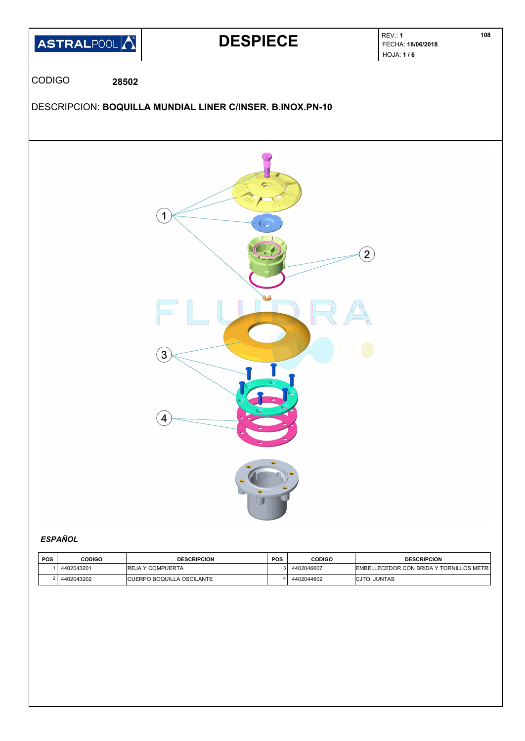

# *ESPAÑOL*

| <b>POS</b> | CODIGO     | <b>DESCRIPCION</b>                | <b>POS</b> | <b>CODIGO</b> | <b>DESCRIPCION</b>                       |
|------------|------------|-----------------------------------|------------|---------------|------------------------------------------|
|            | 4402043201 | IREJA Y COMPUERTA                 |            | 4402046607    | EMBELLECEDOR CON BRIDA Y TORNILLOS METRI |
|            | 4402043202 | <b>ICUERPO BOQUILLA OSCILANTE</b> |            | 4402044602    | ICJTO, JUNTAS                            |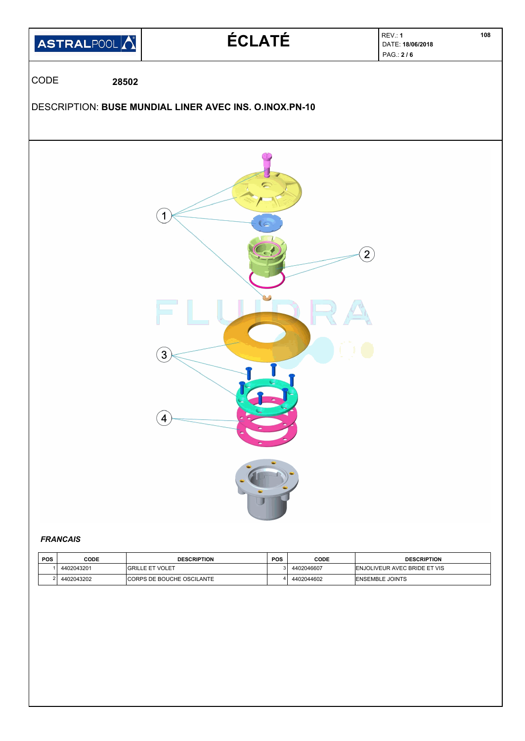

# *FRANCAIS*

| <b>POS</b> | CODE       | <b>DESCRIPTION</b>                | <b>POS</b> | CODE       | <b>DESCRIPTION</b>           |
|------------|------------|-----------------------------------|------------|------------|------------------------------|
|            | 4402043201 | <b>IGRILLE ET VOLET</b>           |            | 4402046607 | ENJOLIVEUR AVEC BRIDE ET VIS |
|            | 4402043202 | <b>ICORPS DE BOUCHE OSCILANTE</b> |            | 4402044602 | <b>ENSEMBLE JOINTS</b>       |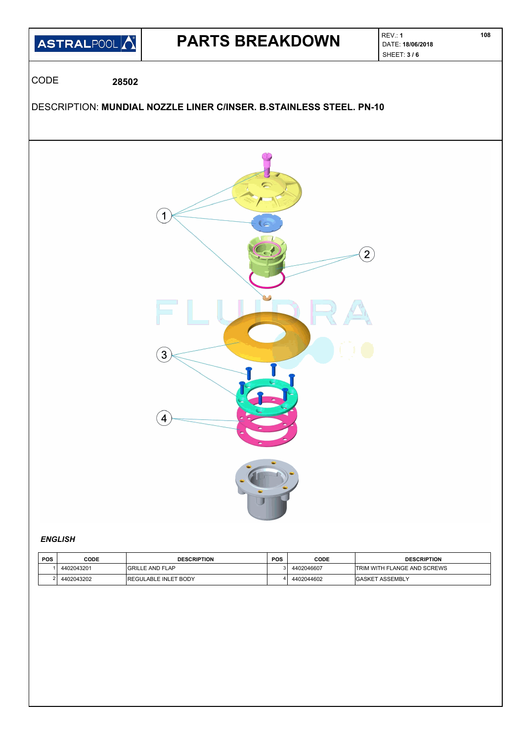

## *ENGLISH*

| <b>POS</b> | CODE       | <b>DESCRIPTION</b>          | <b>POS</b> | CODE       | <b>DESCRIPTION</b>                 |
|------------|------------|-----------------------------|------------|------------|------------------------------------|
|            | 4402043201 | <b>GRILLE AND FLAP</b>      |            | 4402046607 | <b>TRIM WITH FLANGE AND SCREWS</b> |
|            | 4402043202 | <b>REGULABLE INLET BODY</b> |            | 4402044602 | <b>GASKET ASSEMBLY</b>             |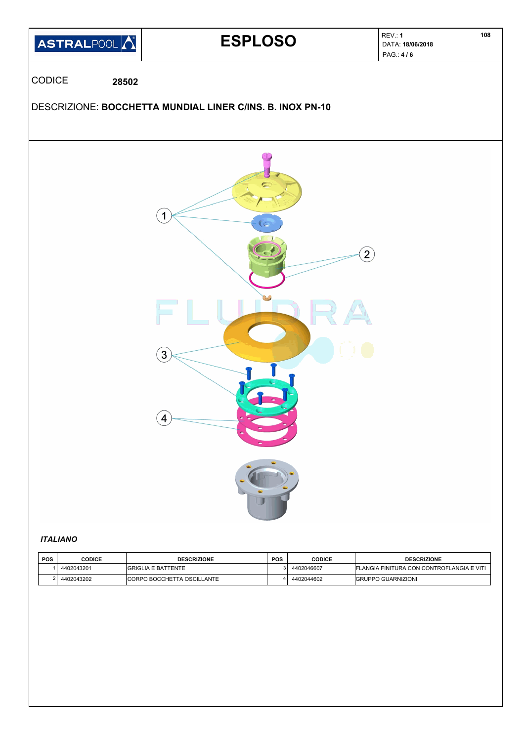

# *ITALIANO*

| <b>POS</b> | CODICE     | <b>DESCRIZIONE</b>                | <b>POS</b> | CODICE     | <b>DESCRIZIONE</b>                        |
|------------|------------|-----------------------------------|------------|------------|-------------------------------------------|
|            | 4402043201 | <b>GRIGLIA E BATTENTE</b>         |            | 4402046607 | FLANGIA FINITURA CON CONTROFLANGIA E VITI |
|            | 4402043202 | <b>CORPO BOCCHETTA OSCILLANTE</b> |            | 4402044602 | <b>GRUPPO GUARNIZIONI</b>                 |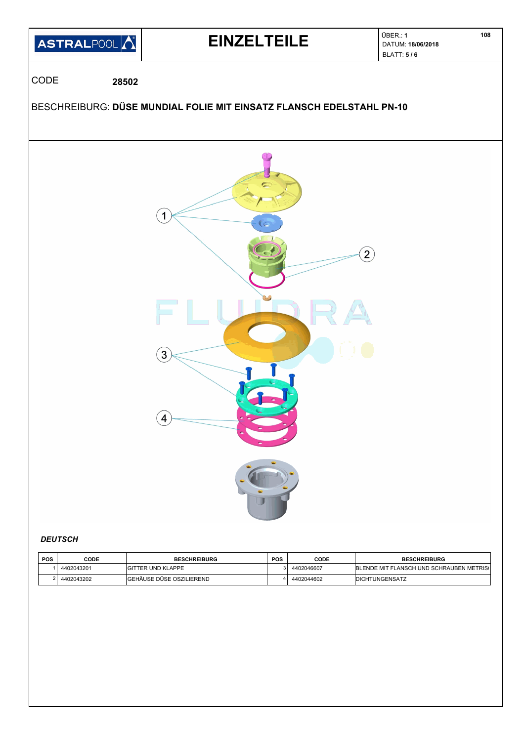

| <b>POS</b> | CODE       | <b>BESCHREIBURG</b>       | <b>POS</b> | CODE       | <b>BESCHREIBURG</b>                      |
|------------|------------|---------------------------|------------|------------|------------------------------------------|
|            | 4402043201 | <b>GITTER UND KLAPPE</b>  |            | 4402046607 | BLENDE MIT FLANSCH UND SCHRAUBEN METRIS( |
|            | 4402043202 | İGEHÄUSE DÜSE OSZILIEREND |            | 4402044602 | <b>IDICHTUNGENSATZ</b>                   |